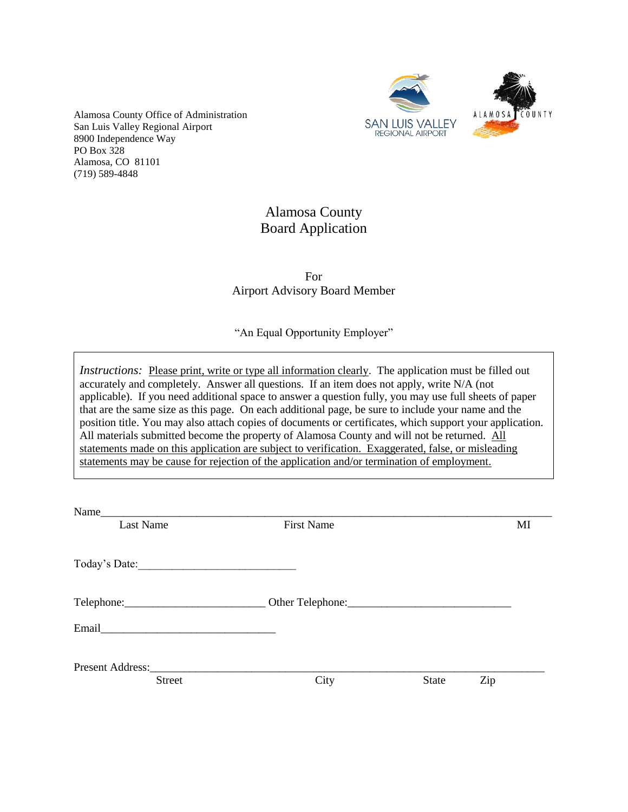

Alamosa County Office of Administration San Luis Valley Regional Airport 8900 Independence Way PO Box 328 Alamosa, CO 81101 (719) 589-4848

## Alamosa County Board Application

For Airport Advisory Board Member

"An Equal Opportunity Employer"

*Instructions:* Please print, write or type all information clearly. The application must be filled out accurately and completely. Answer all questions. If an item does not apply, write N/A (not applicable). If you need additional space to answer a question fully, you may use full sheets of paper that are the same size as this page. On each additional page, be sure to include your name and the position title. You may also attach copies of documents or certificates, which support your application. All materials submitted become the property of Alamosa County and will not be returned. All statements made on this application are subject to verification. Exaggerated, false, or misleading statements may be cause for rejection of the application and/or termination of employment.

| Name_            |                   |              |     |
|------------------|-------------------|--------------|-----|
| <b>Last Name</b> | <b>First Name</b> |              | MI  |
| Today's Date:    |                   |              |     |
|                  |                   |              |     |
| Email            |                   |              |     |
| Present Address: |                   |              |     |
| <b>Street</b>    | City              | <b>State</b> | Zip |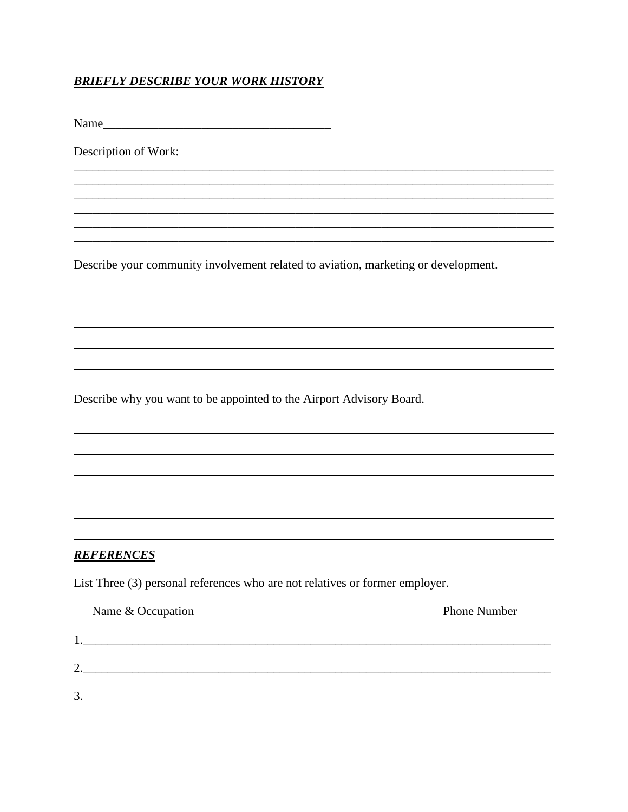## **BRIEFLY DESCRIBE YOUR WORK HISTORY**

Name

Description of Work:

Describe your community involvement related to aviation, marketing or development.

Describe why you want to be appointed to the Airport Advisory Board.

## **REFERENCES**

List Three (3) personal references who are not relatives or former employer.

| Name & Occupation | <b>Phone Number</b> |
|-------------------|---------------------|
|                   |                     |
| ∍                 |                     |
| 3                 |                     |